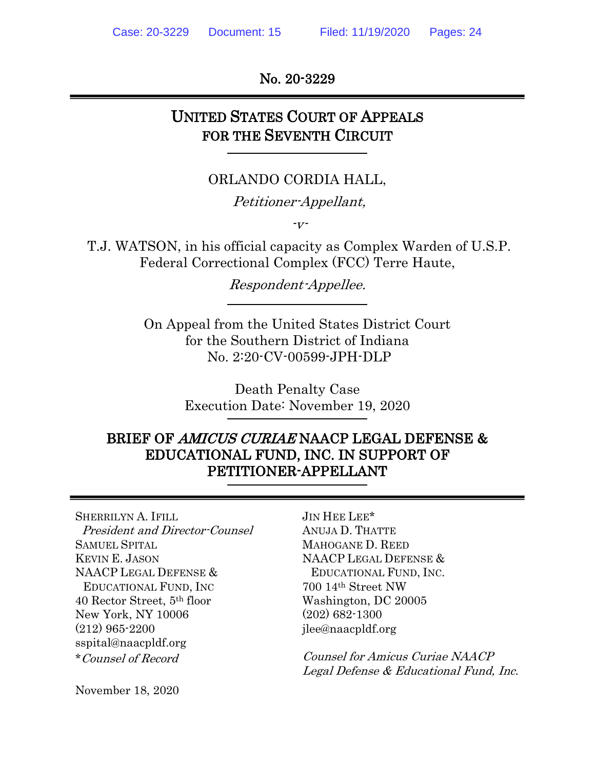No. 20-3229

## UNITED STATES COURT OF APPEALS FOR THE SEVENTH CIRCUIT

### ORLANDO CORDIA HALL,

Petitioner-Appellant,

 $\overline{V}$ -

T.J. WATSON, in his official capacity as Complex Warden of U.S.P. Federal Correctional Complex (FCC) Terre Haute,

Respondent-Appellee.

On Appeal from the United States District Court for the Southern District of Indiana No. 2:20-CV-00599-JPH-DLP

> Death Penalty Case Execution Date: November 19, 2020

## BRIEF OF AMICUS CURIAE NAACP LEGAL DEFENSE & EDUCATIONAL FUND, INC. IN SUPPORT OF PETITIONER-APPELLANT

SHERRILYN A. IFILL JIN HEE LEE\* President and Director-Counsel ANUJA D. THATTE SAMUEL SPITAL MAHOGANE D. REED KEVIN E. JASON NAACP LEGAL DEFENSE & NAACP LEGAL DEFENSE & EDUCATIONAL FUND, INC. EDUCATIONAL FUND, INC 700 14th Street NW 40 Rector Street, 5th floor Washington, DC 20005 New York, NY 10006 (202) 682-1300  $(212)$  965-2200 jlee@naacpldf.org sspital@naacpldf.org

\*Counsel of Record Counsel for Amicus Curiae NAACP Legal Defense & Educational Fund, Inc.

November 18, 2020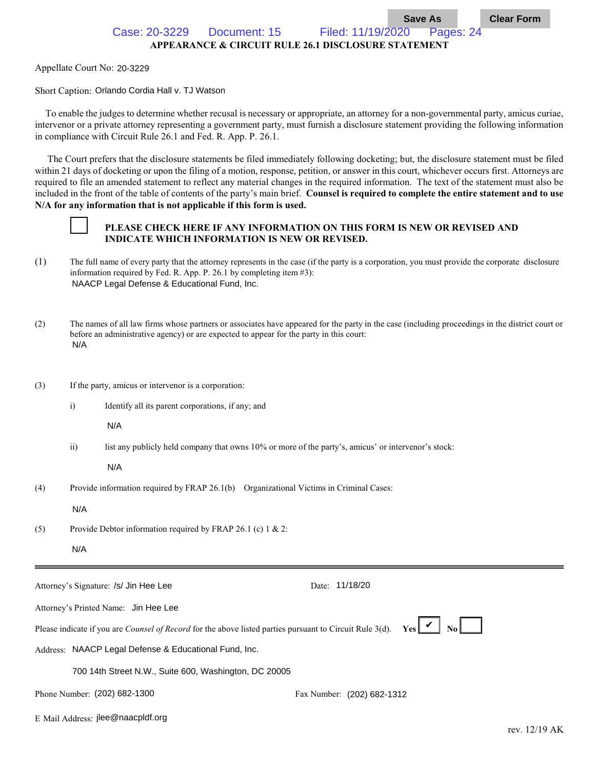Case: 20-3229 Document: 15 Filed: 11/19/2020 Pages: 24

**APPEARANCE & CIRCUIT RULE 26.1 DISCLOSURE STATEMENT**

Appellate Court No: 20-3229

Short Caption: Orlando Cordia Hall v. TJ Watson

 To enable the judges to determine whether recusal is necessary or appropriate, an attorney for a non-governmental party, amicus curiae, intervenor or a private attorney representing a government party, must furnish a disclosure statement providing the following information in compliance with Circuit Rule 26.1 and Fed. R. App. P. 26.1.

 The Court prefers that the disclosure statements be filed immediately following docketing; but, the disclosure statement must be filed within 21 days of docketing or upon the filing of a motion, response, petition, or answer in this court, whichever occurs first. Attorneys are required to file an amended statement to reflect any material changes in the required information. The text of the statement must also be included in the front of the table of contents of the party's main brief. **Counsel is required to complete the entire statement and to use N/A for any information that is not applicable if this form is used.**



#### **PLEASE CHECK HERE IF ANY INFORMATION ON THIS FORM IS NEW OR REVISED AND INDICATE WHICH INFORMATION IS NEW OR REVISED.**

- (1) The full name of every party that the attorney represents in the case (if the party is a corporation, you must provide the corporate disclosure information required by Fed. R. App. P. 26.1 by completing item #3): NAACP Legal Defense & Educational Fund, Inc.
- (2) The names of all law firms whose partners or associates have appeared for the party in the case (including proceedings in the district court or before an administrative agency) or are expected to appear for the party in this court: N/A
- (3) If the party, amicus or intervenor is a corporation:
	- i) Identify all its parent corporations, if any; and

N/A

ii) list any publicly held company that owns 10% or more of the party's, amicus' or intervenor's stock:

N/A

(4) Provide information required by FRAP 26.1(b) Organizational Victims in Criminal Cases:

N/A

(5) Provide Debtor information required by FRAP 26.1 (c) 1 & 2:

N/A

| Attorney's Signature: /s/ Jin Hee Lee                                                                                                                  | Date: 11/18/20             |
|--------------------------------------------------------------------------------------------------------------------------------------------------------|----------------------------|
| Attorney's Printed Name: Jin Hee Lee                                                                                                                   |                            |
| Please indicate if you are <i>Counsel of Record</i> for the above listed parties pursuant to Circuit Rule 3(d). <b>Yes <math>\mathcal{V}</math> No</b> |                            |
| Address: NAACP Legal Defense & Educational Fund, Inc.                                                                                                  |                            |
| 700 14th Street N.W., Suite 600, Washington, DC 20005                                                                                                  |                            |
| Phone Number: (202) 682-1300                                                                                                                           | Fax Number: (202) 682-1312 |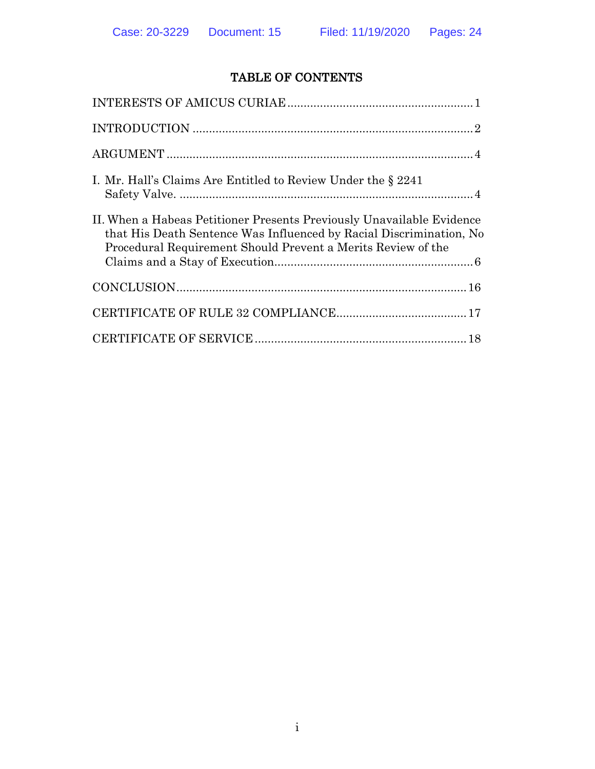### TABLE OF CONTENTS

| I. Mr. Hall's Claims Are Entitled to Review Under the § 2241                                                                                                                                                 |
|--------------------------------------------------------------------------------------------------------------------------------------------------------------------------------------------------------------|
| II. When a Habeas Petitioner Presents Previously Unavailable Evidence<br>that His Death Sentence Was Influenced by Racial Discrimination, No<br>Procedural Requirement Should Prevent a Merits Review of the |
|                                                                                                                                                                                                              |
|                                                                                                                                                                                                              |
|                                                                                                                                                                                                              |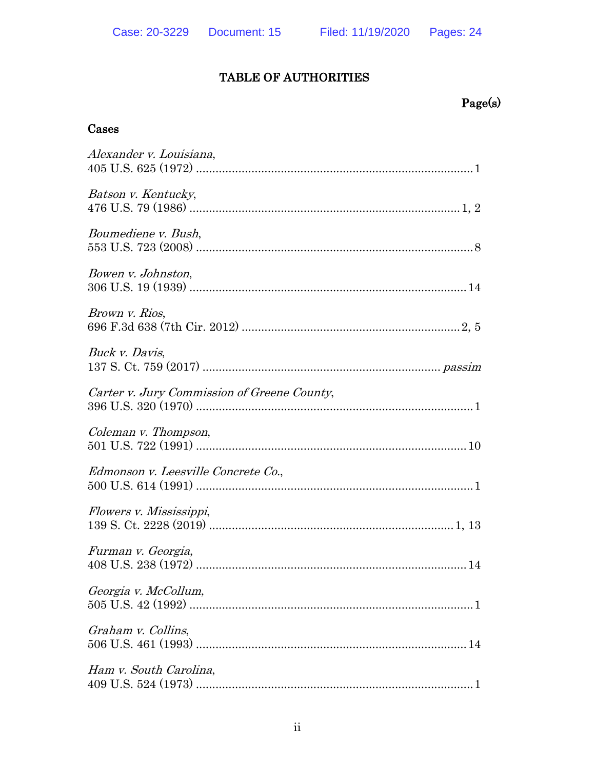### TABLE OF AUTHORITIES

# $Page(s)$

### Cases

| Alexander v. Louisiana,                     |
|---------------------------------------------|
| Batson v. Kentucky,                         |
| Boumediene v. Bush,                         |
| Bowen v. Johnston,                          |
| Brown v. Rios,                              |
| Buck v. Davis,                              |
| Carter v. Jury Commission of Greene County, |
| Coleman v. Thompson,                        |
| Edmonson v. Leesville Concrete Co.,         |
| Flowers v. Mississippi,                     |
| Furman v. Georgia,                          |
| Georgia v. McCollum,                        |
| Graham v. Collins,                          |
| Ham v. South Carolina,                      |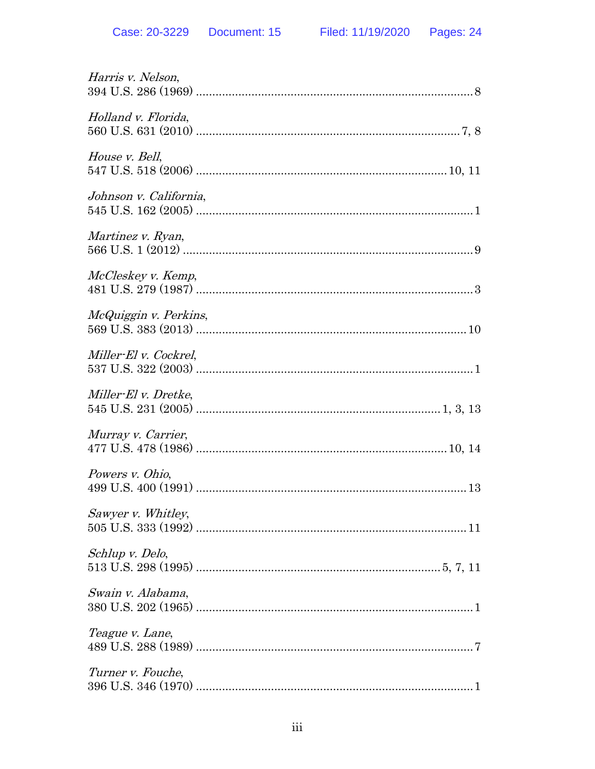| Harris v. Nelson,      |
|------------------------|
| Holland v. Florida,    |
| House v. Bell,         |
| Johnson v. California, |
| Martinez v. Ryan,      |
| McCleskey v. Kemp,     |
| McQuiggin v. Perkins,  |
| Miller-El v. Cockrel,  |
| Miller-El v. Dretke,   |
| Murray v. Carrier,     |
| Powers v. Ohio,        |
| Sawyer v. Whitley,     |
| Schlup v. Delo,        |
| Swain v. Alabama,      |
| Teague v. Lane,        |
| Turner v. Fouche,      |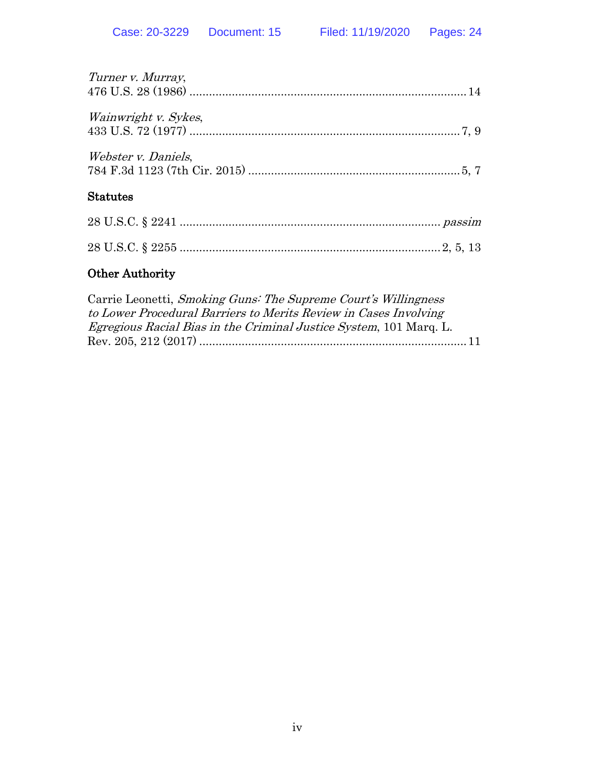| <b>Other Authority</b>     |
|----------------------------|
|                            |
|                            |
| <b>Statutes</b>            |
| <i>Webster v. Daniels,</i> |
| Wainwright v. Sykes,       |
| Turner v. Murray,          |

| Carrie Leonetti, Smoking Guns: The Supreme Court's Willingness            |  |
|---------------------------------------------------------------------------|--|
| to Lower Procedural Barriers to Merits Review in Cases Involving          |  |
| <i>Egregious Racial Bias in the Criminal Justice System, 101 Marq. L.</i> |  |
|                                                                           |  |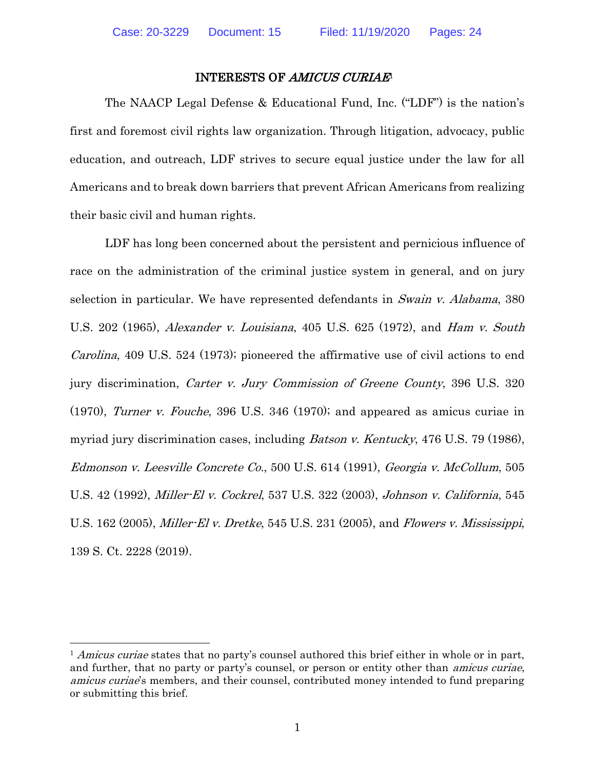#### <span id="page-6-11"></span><span id="page-6-7"></span>INTERESTS OF AMICUS CURIAE<sup>1</sup>

<span id="page-6-0"></span>The NAACP Legal Defense & Educational Fund, Inc. ("LDF") is the nation's first and foremost civil rights law organization. Through litigation, advocacy, public education, and outreach, LDF strives to secure equal justice under the law for all Americans and to break down barriers that prevent African Americans from realizing their basic civil and human rights.

<span id="page-6-12"></span><span id="page-6-3"></span><span id="page-6-2"></span><span id="page-6-1"></span>LDF has long been concerned about the persistent and pernicious influence of race on the administration of the criminal justice system in general, and on jury selection in particular. We have represented defendants in Swain v. Alabama, 380 U.S. 202 (1965), Alexander v. Louisiana, 405 U.S. 625 (1972), and Ham v. South Carolina, 409 U.S. 524 (1973); pioneered the affirmative use of civil actions to end jury discrimination, Carter v. Jury Commission of Greene County, 396 U.S. 320 (1970), Turner v. Fouche, 396 U.S. 346 (1970); and appeared as amicus curiae in myriad jury discrimination cases, including Batson v. Kentucky, 476 U.S. 79 (1986), Edmonson v. Leesville Concrete Co., 500 U.S. 614 (1991), Georgia v. McCollum, 505 U.S. 42 (1992), Miller-El v. Cockrel, 537 U.S. 322 (2003), Johnson v. California, 545 U.S. 162 (2005), Miller-El v. Dretke, 545 U.S. 231 (2005), and Flowers v. Mississippi, 139 S. Ct. 2228 (2019).

<span id="page-6-10"></span><span id="page-6-9"></span><span id="page-6-8"></span><span id="page-6-6"></span><span id="page-6-5"></span><span id="page-6-4"></span><sup>&</sup>lt;sup>1</sup> Amicus curiae states that no party's counsel authored this brief either in whole or in part, and further, that no party or party's counsel, or person or entity other than *amicus curiae*, amicus curiae's members, and their counsel, contributed money intended to fund preparing or submitting this brief.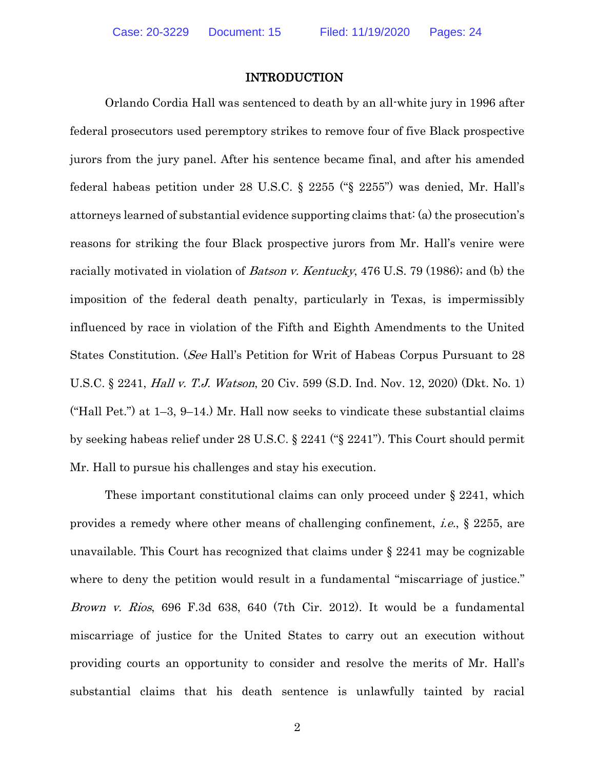#### <span id="page-7-4"></span><span id="page-7-3"></span><span id="page-7-1"></span>INTRODUCTION

<span id="page-7-0"></span>Orlando Cordia Hall was sentenced to death by an all-white jury in 1996 after federal prosecutors used peremptory strikes to remove four of five Black prospective jurors from the jury panel. After his sentence became final, and after his amended federal habeas petition under 28 U.S.C. § 2255 ("§ 2255") was denied, Mr. Hall's attorneys learned of substantial evidence supporting claims that: (a) the prosecution's reasons for striking the four Black prospective jurors from Mr. Hall's venire were racially motivated in violation of *Batson v. Kentucky*, 476 U.S. 79 (1986); and (b) the imposition of the federal death penalty, particularly in Texas, is impermissibly influenced by race in violation of the Fifth and Eighth Amendments to the United States Constitution. (See Hall's Petition for Writ of Habeas Corpus Pursuant to 28 U.S.C. § 2241, Hall v. T.J. Watson, 20 Civ. 599 (S.D. Ind. Nov. 12, 2020) (Dkt. No. 1) ("Hall Pet.") at  $1-3$ ,  $9-14$ .) Mr. Hall now seeks to vindicate these substantial claims by seeking habeas relief under 28 U.S.C. § 2241 ("§ 2241"). This Court should permit Mr. Hall to pursue his challenges and stay his execution.

<span id="page-7-2"></span>These important constitutional claims can only proceed under § 2241, which provides a remedy where other means of challenging confinement, i.e., § 2255, are unavailable. This Court has recognized that claims under § 2241 may be cognizable where to deny the petition would result in a fundamental "miscarriage of justice." Brown v. Rios, 696 F.3d 638, 640 (7th Cir. 2012). It would be a fundamental miscarriage of justice for the United States to carry out an execution without providing courts an opportunity to consider and resolve the merits of Mr. Hall's substantial claims that his death sentence is unlawfully tainted by racial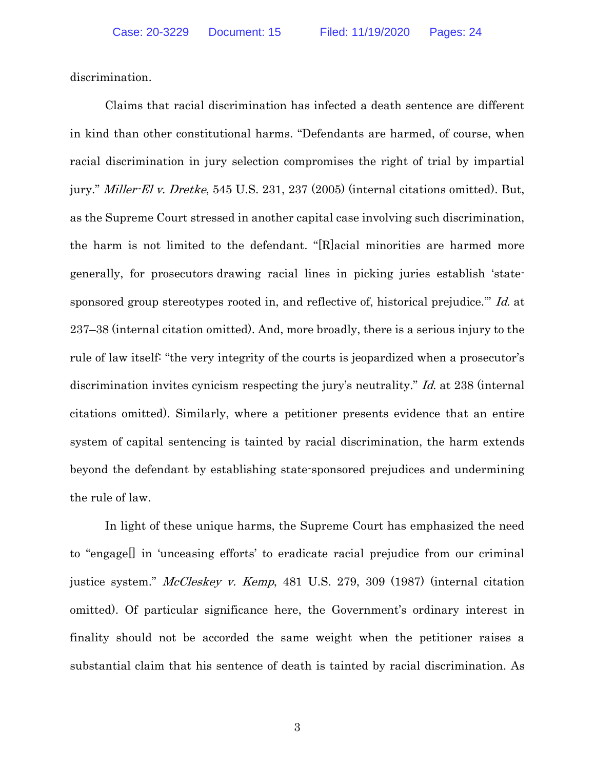discrimination.

<span id="page-8-1"></span>Claims that racial discrimination has infected a death sentence are different in kind than other constitutional harms. "Defendants are harmed, of course, when racial discrimination in jury selection compromises the right of trial by impartial jury." *Miller-El v. Dretke*, 545 U.S. 231, 237 (2005) (internal citations omitted). But, as the Supreme Court stressed in another capital case involving such discrimination, the harm is not limited to the defendant. "[R]acial minorities are harmed more generally, for prosecutors drawing racial lines in picking juries establish 'statesponsored group stereotypes rooted in, and reflective of, historical prejudice." Id. at 237–38 (internal citation omitted). And, more broadly, there is a serious injury to the rule of law itself: "the very integrity of the courts is jeopardized when a prosecutor's discrimination invites cynicism respecting the jury's neutrality." Id. at 238 (internal citations omitted). Similarly, where a petitioner presents evidence that an entire system of capital sentencing is tainted by racial discrimination, the harm extends beyond the defendant by establishing state-sponsored prejudices and undermining the rule of law.

<span id="page-8-0"></span>In light of these unique harms, the Supreme Court has emphasized the need to "engage[] in 'unceasing efforts' to eradicate racial prejudice from our criminal justice system." McCleskey v. Kemp, 481 U.S. 279, 309 (1987) (internal citation omitted). Of particular significance here, the Government's ordinary interest in finality should not be accorded the same weight when the petitioner raises a substantial claim that his sentence of death is tainted by racial discrimination. As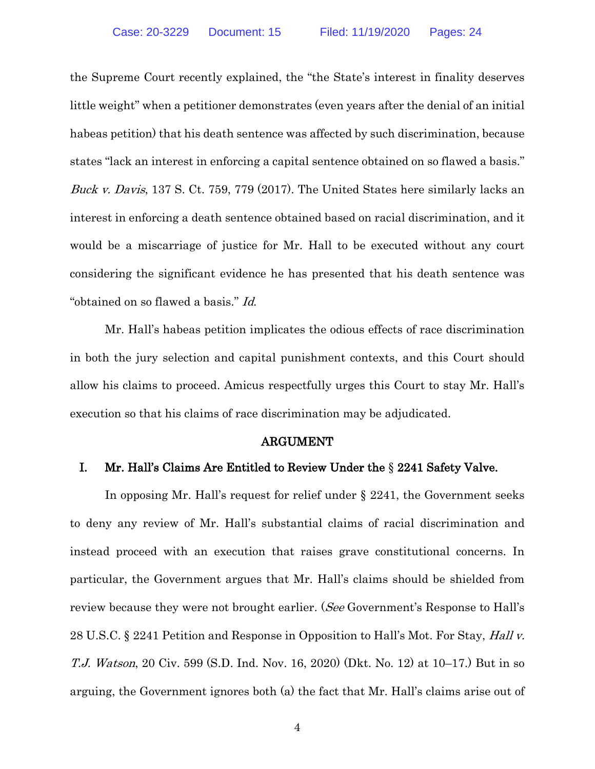<span id="page-9-2"></span>the Supreme Court recently explained, the "the State's interest in finality deserves little weight" when a petitioner demonstrates (even years after the denial of an initial habeas petition) that his death sentence was affected by such discrimination, because states "lack an interest in enforcing a capital sentence obtained on so flawed a basis." Buck v. Davis, 137 S. Ct. 759, 779 (2017). The United States here similarly lacks an interest in enforcing a death sentence obtained based on racial discrimination, and it would be a miscarriage of justice for Mr. Hall to be executed without any court considering the significant evidence he has presented that his death sentence was "obtained on so flawed a basis." Id.

Mr. Hall's habeas petition implicates the odious effects of race discrimination in both the jury selection and capital punishment contexts, and this Court should allow his claims to proceed. Amicus respectfully urges this Court to stay Mr. Hall's execution so that his claims of race discrimination may be adjudicated.

#### ARGUMENT

#### <span id="page-9-1"></span><span id="page-9-0"></span>I. Mr. Hall's Claims Are Entitled to Review Under the § 2241 Safety Valve.

In opposing Mr. Hall's request for relief under § 2241, the Government seeks to deny any review of Mr. Hall's substantial claims of racial discrimination and instead proceed with an execution that raises grave constitutional concerns. In particular, the Government argues that Mr. Hall's claims should be shielded from review because they were not brought earlier. (See Government's Response to Hall's 28 U.S.C. § 2241 Petition and Response in Opposition to Hall's Mot. For Stay, Hall v. T.J. Watson, 20 Civ. 599 (S.D. Ind. Nov. 16, 2020) (Dkt. No. 12) at 10–17.) But in so arguing, the Government ignores both (a) the fact that Mr. Hall's claims arise out of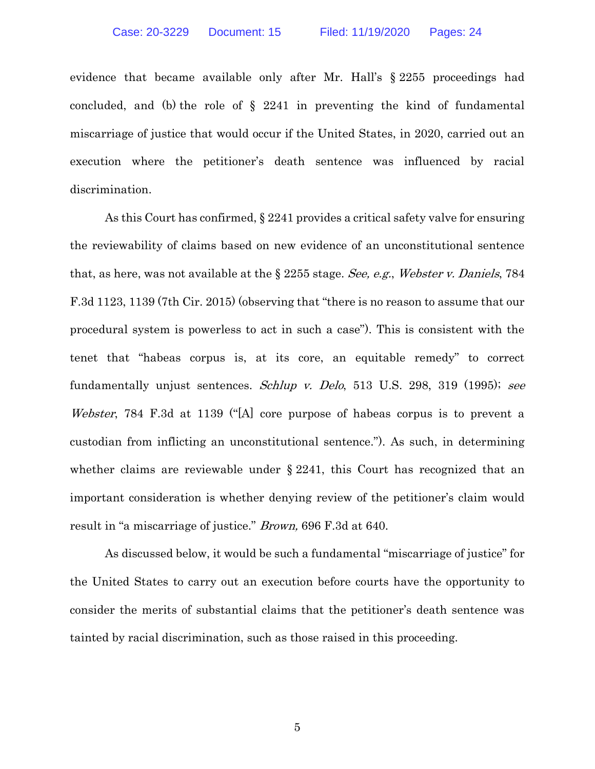<span id="page-10-3"></span>evidence that became available only after Mr. Hall's § 2255 proceedings had concluded, and (b) the role of  $\S$  2241 in preventing the kind of fundamental miscarriage of justice that would occur if the United States, in 2020, carried out an execution where the petitioner's death sentence was influenced by racial discrimination.

<span id="page-10-2"></span><span id="page-10-1"></span>As this Court has confirmed, § 2241 provides a critical safety valve for ensuring the reviewability of claims based on new evidence of an unconstitutional sentence that, as here, was not available at the  $\S 2255$  stage. See, e.g., Webster v. Daniels, 784 F.3d 1123, 1139 (7th Cir. 2015) (observing that "there is no reason to assume that our procedural system is powerless to act in such a case"). This is consistent with the tenet that "habeas corpus is, at its core, an equitable remedy" to correct fundamentally unjust sentences. Schlup v. Delo, 513 U.S. 298, 319 (1995); see Webster, 784 F.3d at 1139 ("[A] core purpose of habeas corpus is to prevent a custodian from inflicting an unconstitutional sentence."). As such, in determining whether claims are reviewable under § 2241, this Court has recognized that an important consideration is whether denying review of the petitioner's claim would result in "a miscarriage of justice." Brown, 696 F.3d at 640.

<span id="page-10-0"></span>As discussed below, it would be such a fundamental "miscarriage of justice" for the United States to carry out an execution before courts have the opportunity to consider the merits of substantial claims that the petitioner's death sentence was tainted by racial discrimination, such as those raised in this proceeding.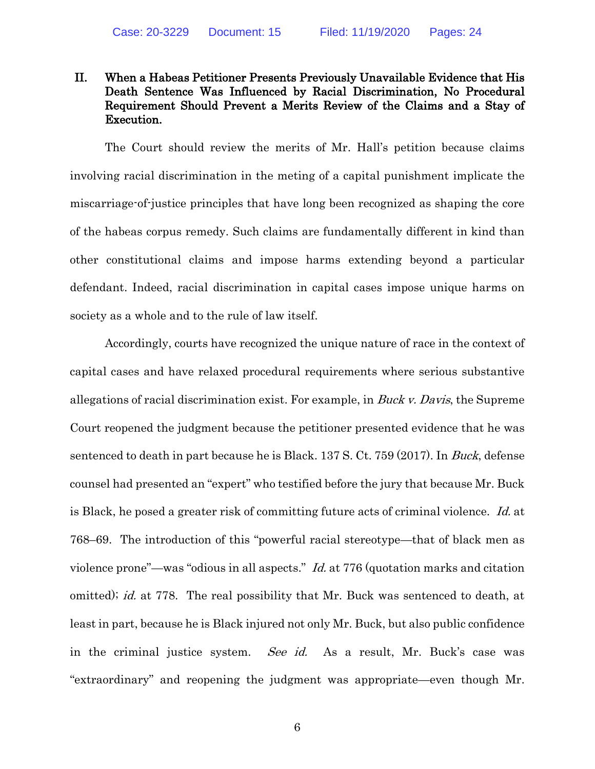### <span id="page-11-0"></span>II. When a Habeas Petitioner Presents Previously Unavailable Evidence that His Death Sentence Was Influenced by Racial Discrimination, No Procedural Requirement Should Prevent a Merits Review of the Claims and a Stay of Execution.

The Court should review the merits of Mr. Hall's petition because claims involving racial discrimination in the meting of a capital punishment implicate the miscarriage-of-justice principles that have long been recognized as shaping the core of the habeas corpus remedy. Such claims are fundamentally different in kind than other constitutional claims and impose harms extending beyond a particular defendant. Indeed, racial discrimination in capital cases impose unique harms on society as a whole and to the rule of law itself.

Accordingly, courts have recognized the unique nature of race in the context of capital cases and have relaxed procedural requirements where serious substantive allegations of racial discrimination exist. For example, in Buck v. Davis, the Supreme Court reopened the judgment because the petitioner presented evidence that he was sentenced to death in part because he is Black. 137 S. Ct. 759 (2017). In Buck, defense counsel had presented an "expert" who testified before the jury that because Mr. Buck is Black, he posed a greater risk of committing future acts of criminal violence. Id. at 768–69. The introduction of this "powerful racial stereotype—that of black men as violence prone"—was "odious in all aspects." Id. at 776 (quotation marks and citation omitted); id. at 778. The real possibility that Mr. Buck was sentenced to death, at least in part, because he is Black injured not only Mr. Buck, but also public confidence in the criminal justice system. See id. As a result, Mr. Buck's case was "extraordinary" and reopening the judgment was appropriate—even though Mr.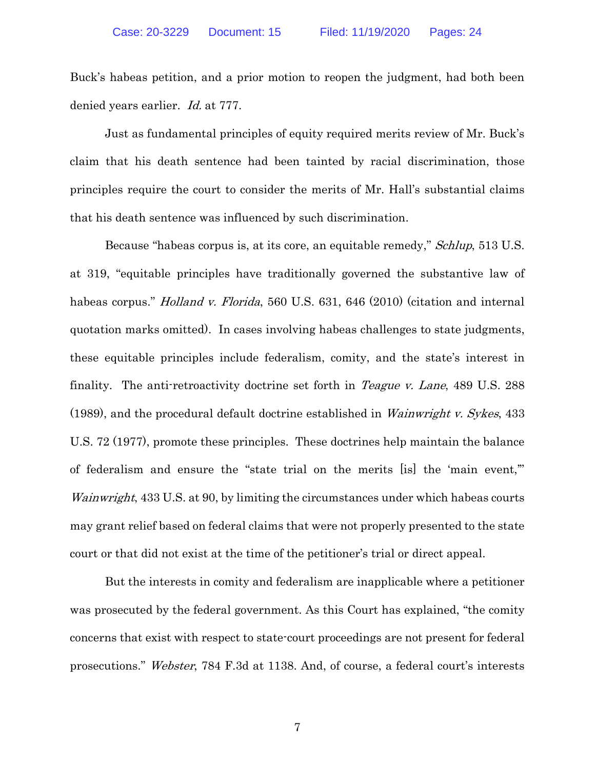Buck's habeas petition, and a prior motion to reopen the judgment, had both been denied years earlier. Id. at 777.

Just as fundamental principles of equity required merits review of Mr. Buck's claim that his death sentence had been tainted by racial discrimination, those principles require the court to consider the merits of Mr. Hall's substantial claims that his death sentence was influenced by such discrimination.

<span id="page-12-2"></span><span id="page-12-1"></span><span id="page-12-0"></span>Because "habeas corpus is, at its core, an equitable remedy," Schlup, 513 U.S. at 319, "equitable principles have traditionally governed the substantive law of habeas corpus." *Holland v. Florida*, 560 U.S. 631, 646 (2010) (citation and internal quotation marks omitted). In cases involving habeas challenges to state judgments, these equitable principles include federalism, comity, and the state's interest in finality. The anti-retroactivity doctrine set forth in *Teague v. Lane*, 489 U.S. 288 (1989), and the procedural default doctrine established in Wainwright v. Sykes, 433 U.S. 72 (1977), promote these principles. These doctrines help maintain the balance of federalism and ensure the "state trial on the merits [is] the 'main event,'" Wainwright, 433 U.S. at 90, by limiting the circumstances under which habeas courts may grant relief based on federal claims that were not properly presented to the state court or that did not exist at the time of the petitioner's trial or direct appeal.

<span id="page-12-4"></span>But the interests in comity and federalism are inapplicable where a petitioner was prosecuted by the federal government. As this Court has explained, "the comity concerns that exist with respect to state-court proceedings are not present for federal prosecutions." Webster, 784 F.3d at 1138. And, of course, a federal court's interests

<span id="page-12-3"></span>7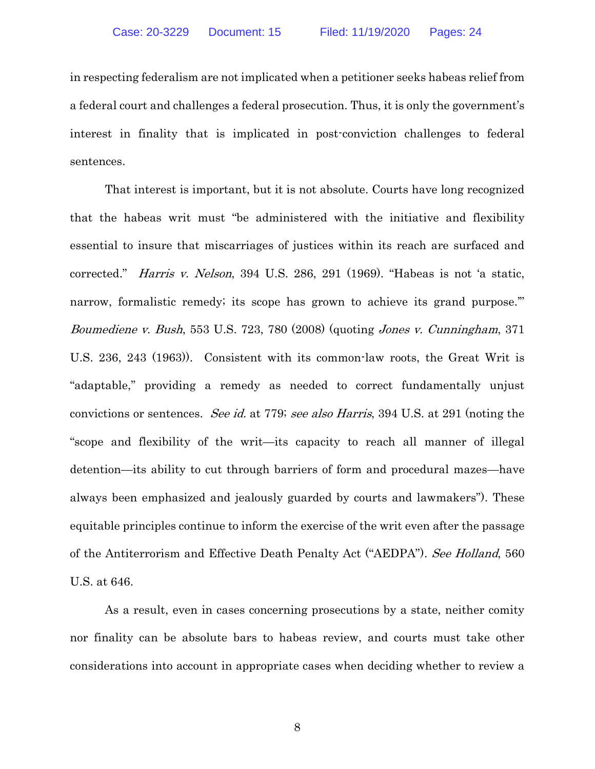in respecting federalism are not implicated when a petitioner seeks habeas relief from a federal court and challenges a federal prosecution. Thus, it is only the government's interest in finality that is implicated in post-conviction challenges to federal sentences.

<span id="page-13-1"></span><span id="page-13-0"></span>That interest is important, but it is not absolute. Courts have long recognized that the habeas writ must "be administered with the initiative and flexibility essential to insure that miscarriages of justices within its reach are surfaced and corrected." Harris v. Nelson, 394 U.S. 286, 291 (1969). "Habeas is not 'a static, narrow, formalistic remedy; its scope has grown to achieve its grand purpose." Boumediene v. Bush, 553 U.S. 723, 780 (2008) (quoting Jones v. Cunningham, 371 U.S. 236, 243 (1963)). Consistent with its common-law roots, the Great Writ is "adaptable," providing a remedy as needed to correct fundamentally unjust convictions or sentences. See id. at 779; see also Harris, 394 U.S. at 291 (noting the "scope and flexibility of the writ—its capacity to reach all manner of illegal detention—its ability to cut through barriers of form and procedural mazes—have always been emphasized and jealously guarded by courts and lawmakers"). These equitable principles continue to inform the exercise of the writ even after the passage of the Antiterrorism and Effective Death Penalty Act ("AEDPA"). See Holland, 560 U.S. at 646.

As a result, even in cases concerning prosecutions by a state, neither comity nor finality can be absolute bars to habeas review, and courts must take other considerations into account in appropriate cases when deciding whether to review a

<span id="page-13-2"></span>8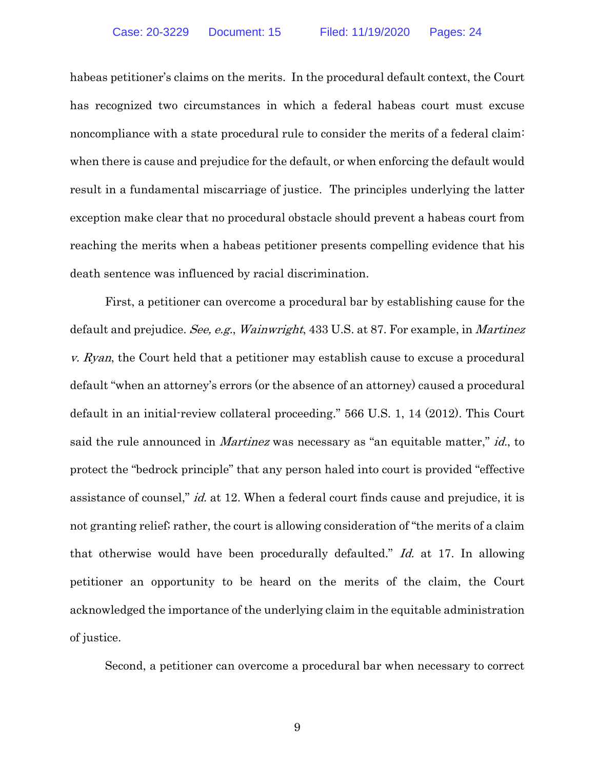habeas petitioner's claims on the merits. In the procedural default context, the Court has recognized two circumstances in which a federal habeas court must excuse noncompliance with a state procedural rule to consider the merits of a federal claim: when there is cause and prejudice for the default, or when enforcing the default would result in a fundamental miscarriage of justice. The principles underlying the latter exception make clear that no procedural obstacle should prevent a habeas court from reaching the merits when a habeas petitioner presents compelling evidence that his death sentence was influenced by racial discrimination.

<span id="page-14-1"></span><span id="page-14-0"></span>First, a petitioner can overcome a procedural bar by establishing cause for the default and prejudice. See, e.g., Wainwright, 433 U.S. at 87. For example, in Martinez v. Ryan, the Court held that a petitioner may establish cause to excuse a procedural default "when an attorney's errors (or the absence of an attorney) caused a procedural default in an initial-review collateral proceeding." 566 U.S. 1, 14 (2012). This Court said the rule announced in *Martinez* was necessary as "an equitable matter," *id.*, to protect the "bedrock principle" that any person haled into court is provided "effective assistance of counsel," id. at 12. When a federal court finds cause and prejudice, it is not granting relief; rather, the court is allowing consideration of "the merits of a claim that otherwise would have been procedurally defaulted." Id. at 17. In allowing petitioner an opportunity to be heard on the merits of the claim, the Court acknowledged the importance of the underlying claim in the equitable administration of justice.

Second, a petitioner can overcome a procedural bar when necessary to correct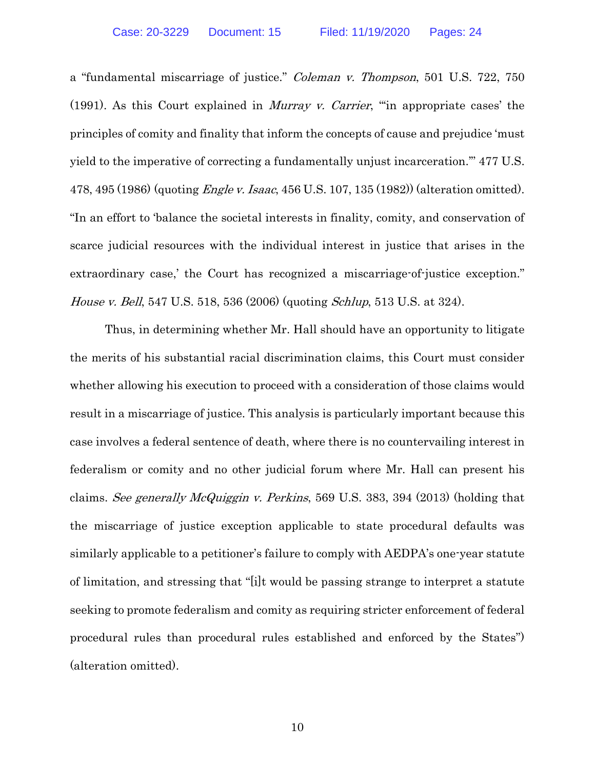<span id="page-15-3"></span><span id="page-15-0"></span>a "fundamental miscarriage of justice." Coleman v. Thompson, 501 U.S. 722, 750 (1991). As this Court explained in Murray v. Carrier, "'in appropriate cases' the principles of comity and finality that inform the concepts of cause and prejudice 'must yield to the imperative of correcting a fundamentally unjust incarceration.'" 477 U.S. 478, 495 (1986) (quoting *Engle v. Isaac*, 456 U.S. 107, 135 (1982)) (alteration omitted). "In an effort to 'balance the societal interests in finality, comity, and conservation of scarce judicial resources with the individual interest in justice that arises in the extraordinary case,' the Court has recognized a miscarriage-of-justice exception." *House v. Bell*, 547 U.S. 518, 536 (2006) (quoting *Schlup*, 513 U.S. at 324).

<span id="page-15-2"></span><span id="page-15-1"></span>Thus, in determining whether Mr. Hall should have an opportunity to litigate the merits of his substantial racial discrimination claims, this Court must consider whether allowing his execution to proceed with a consideration of those claims would result in a miscarriage of justice. This analysis is particularly important because this case involves a federal sentence of death, where there is no countervailing interest in federalism or comity and no other judicial forum where Mr. Hall can present his claims. See generally McQuiggin v. Perkins, 569 U.S. 383, 394 (2013) (holding that the miscarriage of justice exception applicable to state procedural defaults was similarly applicable to a petitioner's failure to comply with AEDPA's one-year statute of limitation, and stressing that "[i]t would be passing strange to interpret a statute seeking to promote federalism and comity as requiring stricter enforcement of federal procedural rules than procedural rules established and enforced by the States") (alteration omitted).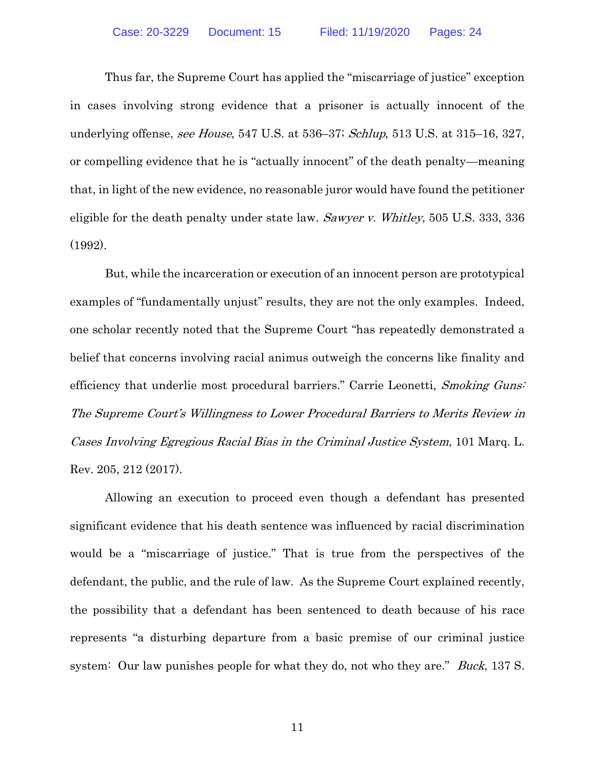<span id="page-16-2"></span><span id="page-16-0"></span>Thus far, the Supreme Court has applied the "miscarriage of justice" exception in cases involving strong evidence that a prisoner is actually innocent of the underlying offense, see House, 547 U.S. at 536–37; Schlup, 513 U.S. at 315–16, 327, or compelling evidence that he is "actually innocent" of the death penalty—meaning that, in light of the new evidence, no reasonable juror would have found the petitioner eligible for the death penalty under state law. Sawyer v. Whitley, 505 U.S. 333, 336 (1992).

<span id="page-16-3"></span><span id="page-16-1"></span>But, while the incarceration or execution of an innocent person are prototypical examples of "fundamentally unjust" results, they are not the only examples. Indeed, one scholar recently noted that the Supreme Court "has repeatedly demonstrated a belief that concerns involving racial animus outweigh the concerns like finality and efficiency that underlie most procedural barriers." Carrie Leonetti, Smoking Guns: The Supreme Court's Willingness to Lower Procedural Barriers to Merits Review in Cases Involving Egregious Racial Bias in the Criminal Justice System, 101 Marq. L. Rev. 205, 212 (2017).

Allowing an execution to proceed even though a defendant has presented significant evidence that his death sentence was influenced by racial discrimination would be a "miscarriage of justice." That is true from the perspectives of the defendant, the public, and the rule of law. As the Supreme Court explained recently, the possibility that a defendant has been sentenced to death because of his race represents "a disturbing departure from a basic premise of our criminal justice system: Our law punishes people for what they do, not who they are." *Buck*, 137 S.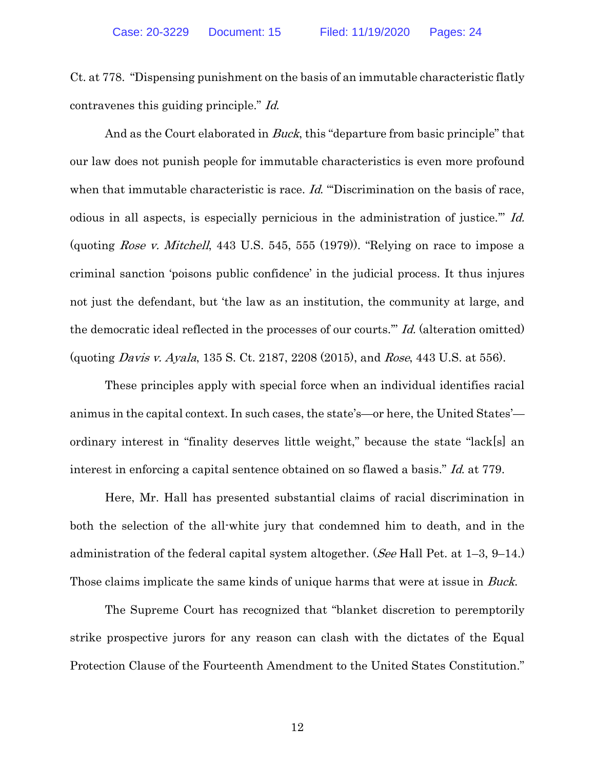Ct. at 778. "Dispensing punishment on the basis of an immutable characteristic flatly contravenes this guiding principle." Id.

And as the Court elaborated in *Buck*, this "departure from basic principle" that our law does not punish people for immutable characteristics is even more profound when that immutable characteristic is race. Id. ""Discrimination on the basis of race, odious in all aspects, is especially pernicious in the administration of justice.'" Id. (quoting *Rose v. Mitchell*, 443 U.S. 545, 555 (1979)). "Relying on race to impose a criminal sanction 'poisons public confidence' in the judicial process. It thus injures not just the defendant, but 'the law as an institution, the community at large, and the democratic ideal reflected in the processes of our courts.'" Id. (alteration omitted) (quoting Davis v. Ayala, 135 S. Ct. 2187, 2208 (2015), and Rose, 443 U.S. at 556).

These principles apply with special force when an individual identifies racial animus in the capital context. In such cases, the state's—or here, the United States' ordinary interest in "finality deserves little weight," because the state "lack[s] an interest in enforcing a capital sentence obtained on so flawed a basis." Id. at 779.

Here, Mr. Hall has presented substantial claims of racial discrimination in both the selection of the all-white jury that condemned him to death, and in the administration of the federal capital system altogether. (See Hall Pet. at 1–3, 9–14.) Those claims implicate the same kinds of unique harms that were at issue in *Buck*.

The Supreme Court has recognized that "blanket discretion to peremptorily strike prospective jurors for any reason can clash with the dictates of the Equal Protection Clause of the Fourteenth Amendment to the United States Constitution."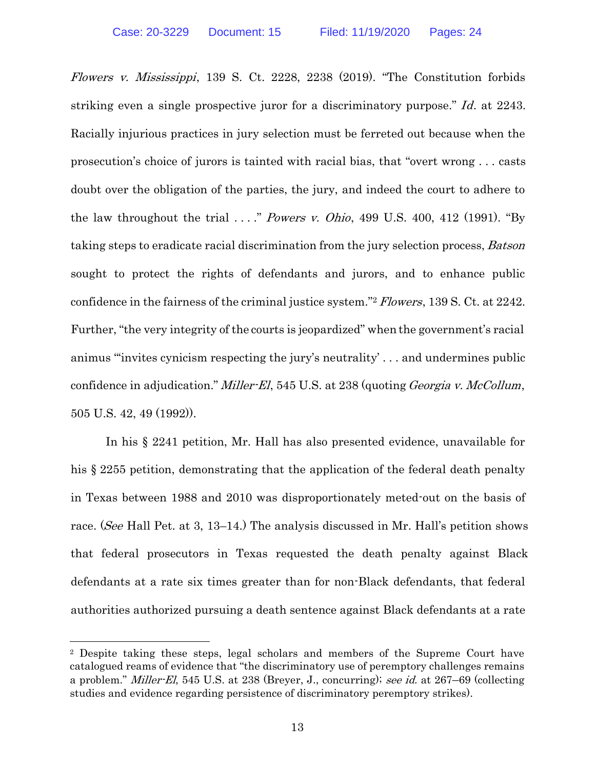<span id="page-18-2"></span><span id="page-18-0"></span>Flowers v. Mississippi, 139 S. Ct. 2228, 2238 (2019). "The Constitution forbids striking even a single prospective juror for a discriminatory purpose." Id. at 2243. Racially injurious practices in jury selection must be ferreted out because when the prosecution's choice of jurors is tainted with racial bias, that "overt wrong . . . casts doubt over the obligation of the parties, the jury, and indeed the court to adhere to the law throughout the trial  $\ldots$ ." Powers v. Ohio, 499 U.S. 400, 412 (1991). "By taking steps to eradicate racial discrimination from the jury selection process, Batson sought to protect the rights of defendants and jurors, and to enhance public confidence in the fairness of the criminal justice system."<sup>2</sup> Flowers, 139 S. Ct. at 2242. Further, "the very integrity of the courts is jeopardized" when the government's racial animus "'invites cynicism respecting the jury's neutrality' . . . and undermines public confidence in adjudication." Miller-El, 545 U.S. at 238 (quoting *Georgia v. McCollum*, 505 U.S. 42, 49 (1992)).

<span id="page-18-3"></span>In his § 2241 petition, Mr. Hall has also presented evidence, unavailable for his § 2255 petition, demonstrating that the application of the federal death penalty in Texas between 1988 and 2010 was disproportionately meted-out on the basis of race. (See Hall Pet. at 3, 13–14.) The analysis discussed in Mr. Hall's petition shows that federal prosecutors in Texas requested the death penalty against Black defendants at a rate six times greater than for non-Black defendants, that federal authorities authorized pursuing a death sentence against Black defendants at a rate

<span id="page-18-1"></span><sup>2</sup> Despite taking these steps, legal scholars and members of the Supreme Court have catalogued reams of evidence that "the discriminatory use of peremptory challenges remains a problem." Miller-El, 545 U.S. at 238 (Breyer, J., concurring); see id. at 267–69 (collecting studies and evidence regarding persistence of discriminatory peremptory strikes).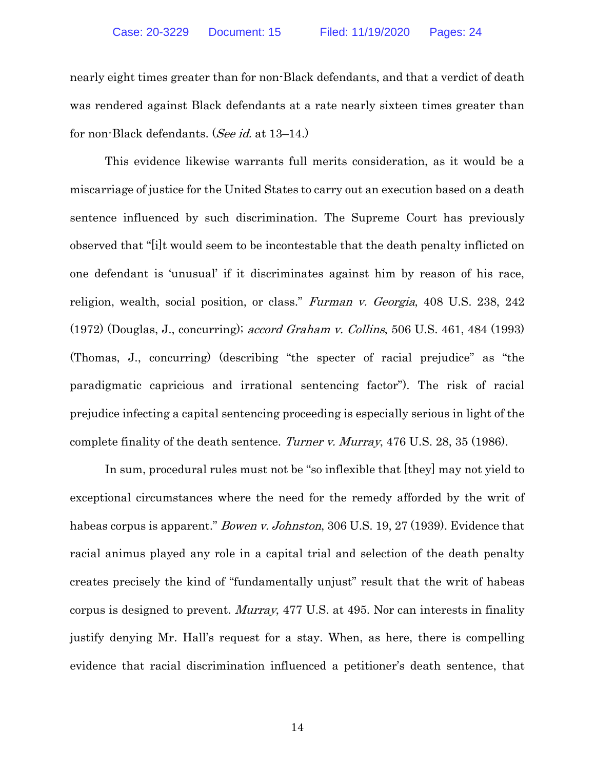nearly eight times greater than for non-Black defendants, and that a verdict of death was rendered against Black defendants at a rate nearly sixteen times greater than for non-Black defendants. (See id. at 13–14.)

<span id="page-19-1"></span>This evidence likewise warrants full merits consideration, as it would be a miscarriage of justice for the United States to carry out an execution based on a death sentence influenced by such discrimination. The Supreme Court has previously observed that "[i]t would seem to be incontestable that the death penalty inflicted on one defendant is 'unusual' if it discriminates against him by reason of his race, religion, wealth, social position, or class." Furman v. Georgia, 408 U.S. 238, 242 (1972) (Douglas, J., concurring); accord Graham v. Collins, 506 U.S. 461, 484 (1993) (Thomas, J., concurring) (describing "the specter of racial prejudice" as "the paradigmatic capricious and irrational sentencing factor"). The risk of racial prejudice infecting a capital sentencing proceeding is especially serious in light of the complete finality of the death sentence. Turner v. Murray, 476 U.S. 28, 35 (1986).

<span id="page-19-4"></span><span id="page-19-3"></span><span id="page-19-2"></span><span id="page-19-0"></span>In sum, procedural rules must not be "so inflexible that [they] may not yield to exceptional circumstances where the need for the remedy afforded by the writ of habeas corpus is apparent." *Bowen v. Johnston*, 306 U.S. 19, 27 (1939). Evidence that racial animus played any role in a capital trial and selection of the death penalty creates precisely the kind of "fundamentally unjust" result that the writ of habeas corpus is designed to prevent. Murray, 477 U.S. at 495. Nor can interests in finality justify denying Mr. Hall's request for a stay. When, as here, there is compelling evidence that racial discrimination influenced a petitioner's death sentence, that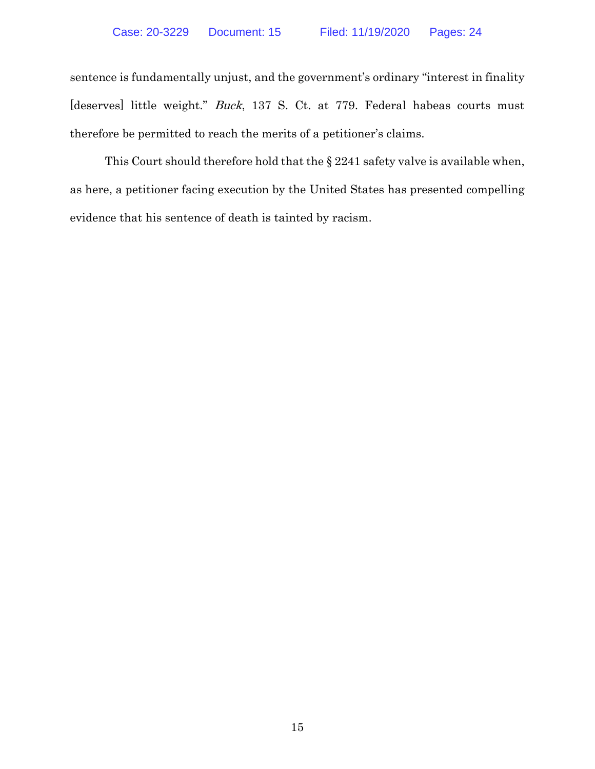sentence is fundamentally unjust, and the government's ordinary "interest in finality [deserves] little weight." *Buck*, 137 S. Ct. at 779. Federal habeas courts must therefore be permitted to reach the merits of a petitioner's claims.

This Court should therefore hold that the § 2241 safety valve is available when, as here, a petitioner facing execution by the United States has presented compelling evidence that his sentence of death is tainted by racism.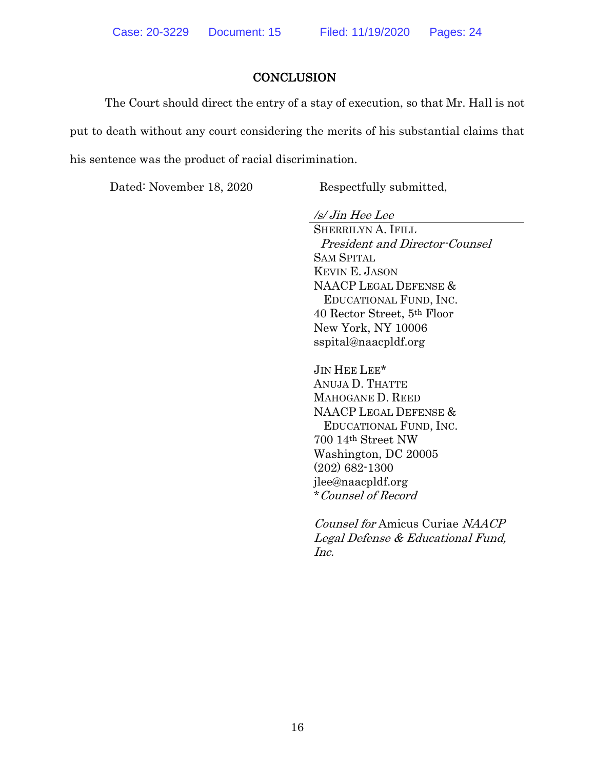#### **CONCLUSION**

<span id="page-21-0"></span>The Court should direct the entry of a stay of execution, so that Mr. Hall is not put to death without any court considering the merits of his substantial claims that his sentence was the product of racial discrimination.

Dated: November 18, 2020 Respectfully submitted,

/s/ Jin Hee Lee

SHERRILYN A. IFILL President and Director-Counsel SAM SPITAL KEVIN E. JASON NAACP LEGAL DEFENSE & EDUCATIONAL FUND, INC. 40 Rector Street, 5th Floor New York, NY 10006 sspital@naacpldf.org

JIN HEE LEE\* ANUJA D. THATTE MAHOGANE D. REED NAACP LEGAL DEFENSE & EDUCATIONAL FUND, INC. 700 14th Street NW Washington, DC 20005 (202) 682-1300 jlee@naacpldf.org \*Counsel of Record

Counsel for Amicus Curiae NAACP Legal Defense & Educational Fund, Inc.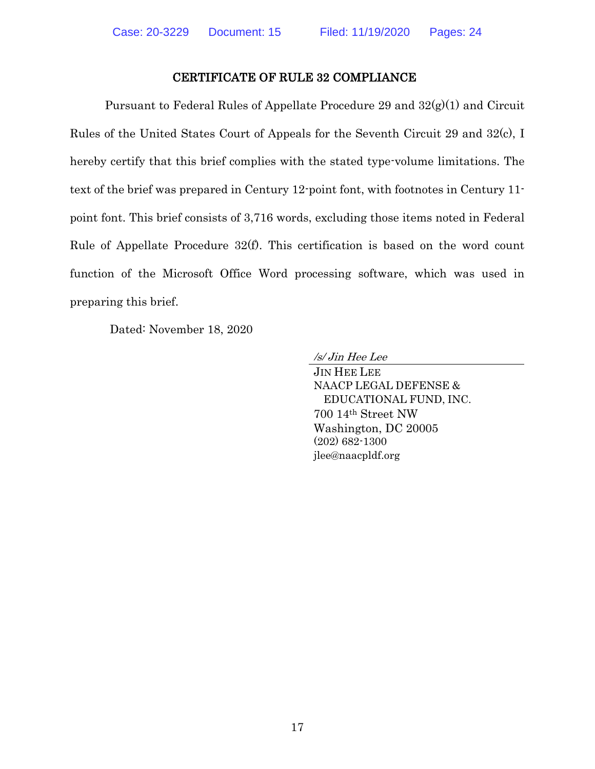#### CERTIFICATE OF RULE 32 COMPLIANCE

<span id="page-22-0"></span>Pursuant to Federal Rules of Appellate Procedure 29 and  $32(g)(1)$  and Circuit Rules of the United States Court of Appeals for the Seventh Circuit 29 and 32(c), I hereby certify that this brief complies with the stated type-volume limitations. The text of the brief was prepared in Century 12-point font, with footnotes in Century 11 point font. This brief consists of 3,716 words, excluding those items noted in Federal Rule of Appellate Procedure 32(f). This certification is based on the word count function of the Microsoft Office Word processing software, which was used in preparing this brief.

Dated: November 18, 2020

/s/ Jin Hee Lee

JIN HEE LEE NAACP LEGAL DEFENSE & EDUCATIONAL FUND, INC. 700 14th Street NW Washington, DC 20005 (202) 682-1300 jlee@naacpldf.org